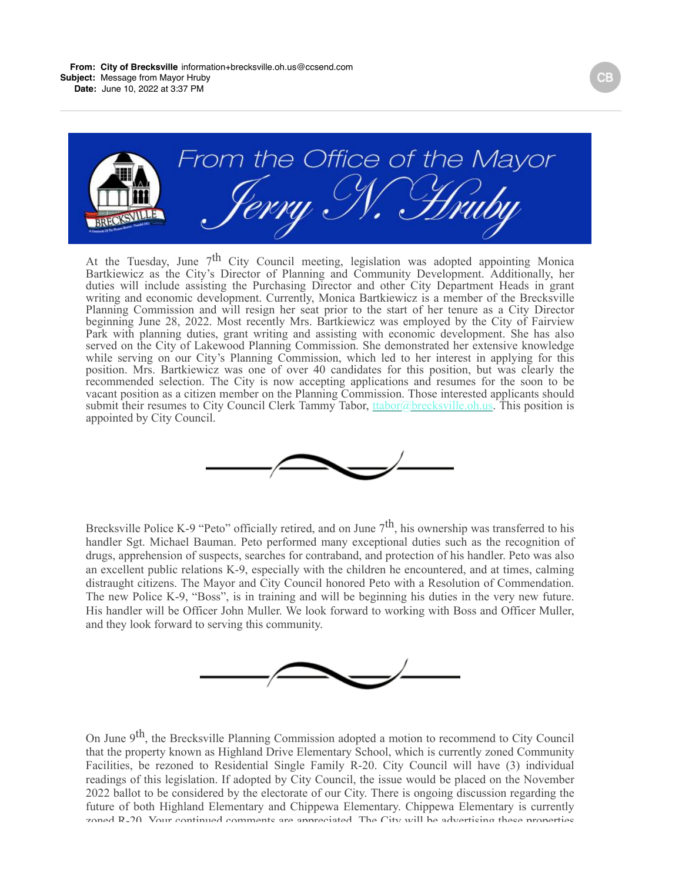

At the Tuesday, June  $7<sup>th</sup>$  City Council meeting, legislation was adopted appointing Monica Bartkiewicz as the City's Director of Planning and Community Development. Additionally, her duties will include assisting the Purchasing Director and other City Department Heads in grant writing and economic development. Currently, Monica Bartkiewicz is a member of the Brecksville Planning Commission and will resign her seat prior to the start of her tenure as a City Director beginning June 28, 2022. Most recently Mrs. Bartkiewicz was employed by the City of Fairview Park with planning duties, grant writing and assisting with economic development. She has also served on the City of Lakewood Planning Commission. She demonstrated her extensive knowledge while serving on our City's Planning Commission, which led to her interest in applying for this position. Mrs. Bartkiewicz was one of over 40 candidates for this position, but was clearly the recommended selection. The City is now accepting applications and resumes for the soon to be vacant position as a citizen member on the Planning Commission. Those interested applicants should submit their resumes to City Council Clerk Tammy Tabor, the *Leonardo Brecksville.* Oh.us. This position is appointed by City Council.



Brecksville Police K-9 "Peto" officially retired, and on June  $7<sup>th</sup>$ , his ownership was transferred to his handler Sgt. Michael Bauman. Peto performed many exceptional duties such as the recognition of drugs, apprehension of suspects, searches for contraband, and protection of his handler. Peto was also an excellent public relations K-9, especially with the children he encountered, and at times, calming distraught citizens. The Mayor and City Council honored Peto with a Resolution of Commendation. The new Police K-9, "Boss", is in training and will be beginning his duties in the very new future. His handler will be Officer John Muller. We look forward to working with Boss and Officer Muller, and they look forward to serving this community.



On June 9<sup>th</sup>, the Brecksville Planning Commission adopted a motion to recommend to City Council that the property known as Highland Drive Elementary School, which is currently zoned Community Facilities, be rezoned to Residential Single Family R-20. City Council will have (3) individual readings of this legislation. If adopted by City Council, the issue would be placed on the November 2022 ballot to be considered by the electorate of our City. There is ongoing discussion regarding the future of both Highland Elementary and Chippewa Elementary. Chippewa Elementary is currently zoned R-20. Vour continued comments are annreciated. The City will be advertising these properties